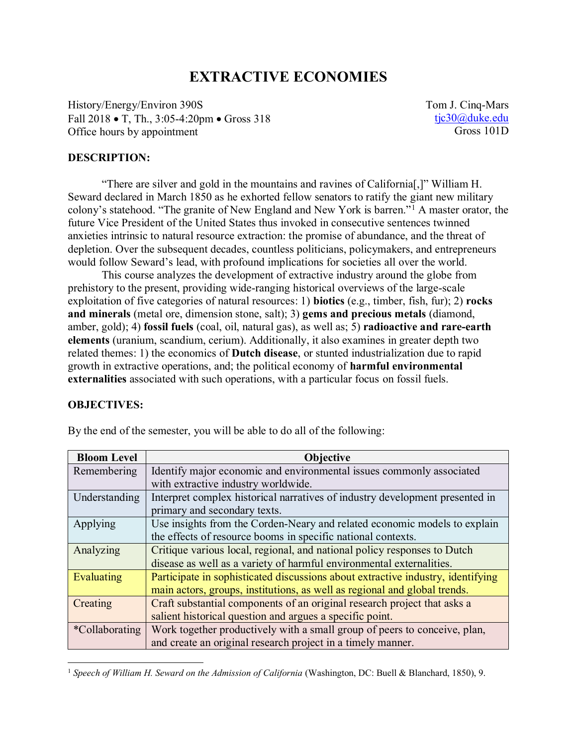# **EXTRACTIVE ECONOMIES**

History/Energy/Environ 390S Fall 2018 • T, Th., 3:05-4:20pm • Gross 318 Office hours by appointment

Tom J. Cinq-Mars [tjc30@duke.edu](mailto:tjc30@duke.edu) Gross 101D

#### **DESCRIPTION:**

"There are silver and gold in the mountains and ravines of California[,]" William H. Seward declared in March 1850 as he exhorted fellow senators to ratify the giant new military colony's statehood. "The granite of New England and New York is barren."<sup>1</sup> A master orator, the future Vice President of the United States thus invoked in consecutive sentences twinned anxieties intrinsic to natural resource extraction: the promise of abundance, and the threat of depletion. Over the subsequent decades, countless politicians, policymakers, and entrepreneurs would follow Seward's lead, with profound implications for societies all over the world.

This course analyzes the development of extractive industry around the globe from prehistory to the present, providing wide-ranging historical overviews of the large-scale exploitation of five categories of natural resources: 1) **biotics** (e.g., timber, fish, fur); 2) **rocks and minerals** (metal ore, dimension stone, salt); 3) **gems and precious metals** (diamond, amber, gold); 4) **fossil fuels** (coal, oil, natural gas), as well as; 5) **radioactive and rare-earth elements** (uranium, scandium, cerium). Additionally, it also examines in greater depth two related themes: 1) the economics of **Dutch disease**, or stunted industrialization due to rapid growth in extractive operations, and; the political economy of **harmful environmental externalities** associated with such operations, with a particular focus on fossil fuels.

#### **OBJECTIVES:**

| <b>Bloom Level</b>    | <b>Objective</b>                                                                |  |  |
|-----------------------|---------------------------------------------------------------------------------|--|--|
| Remembering           | Identify major economic and environmental issues commonly associated            |  |  |
|                       | with extractive industry worldwide.                                             |  |  |
| Understanding         | Interpret complex historical narratives of industry development presented in    |  |  |
|                       | primary and secondary texts.                                                    |  |  |
| Applying              | Use insights from the Corden-Neary and related economic models to explain       |  |  |
|                       | the effects of resource booms in specific national contexts.                    |  |  |
| Analyzing             | Critique various local, regional, and national policy responses to Dutch        |  |  |
|                       | disease as well as a variety of harmful environmental externalities.            |  |  |
| Evaluating            | Participate in sophisticated discussions about extractive industry, identifying |  |  |
|                       | main actors, groups, institutions, as well as regional and global trends.       |  |  |
| Creating              | Craft substantial components of an original research project that asks a        |  |  |
|                       | salient historical question and argues a specific point.                        |  |  |
| <i>*Collaborating</i> | Work together productively with a small group of peers to conceive, plan,       |  |  |
|                       | and create an original research project in a timely manner.                     |  |  |

By the end of the semester, you will be able to do all of the following:

<sup>&</sup>lt;sup>1</sup> Speech of William H. Seward on the Admission of California (Washington, DC: Buell & Blanchard, 1850), 9.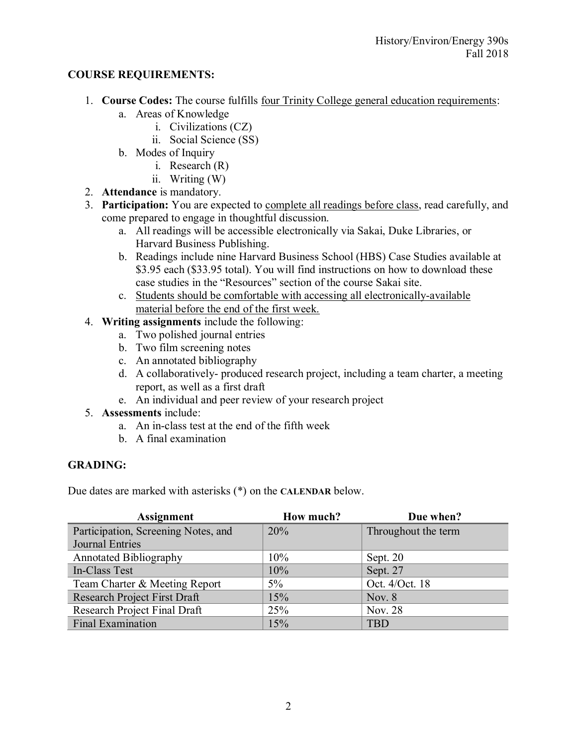### **COURSE REQUIREMENTS:**

- 1. **Course Codes:** The course fulfills four Trinity College general education requirements:
	- a. Areas of Knowledge
		- i. Civilizations (CZ)
		- ii. Social Science (SS)
	- b. Modes of Inquiry
		- i. Research (R)
		- ii. Writing (W)
- 2. **Attendance** is mandatory.
- 3. **Participation:** You are expected to complete all readings before class, read carefully, and come prepared to engage in thoughtful discussion.
	- a. All readings will be accessible electronically via Sakai, Duke Libraries, or Harvard Business Publishing.
	- b. Readings include nine Harvard Business School (HBS) Case Studies available at \$3.95 each (\$33.95 total). You will find instructions on how to download these case studies in the "Resources" section of the course Sakai site.
	- c. Students should be comfortable with accessing all electronically-available material before the end of the first week.
- 4. **Writing assignments** include the following:
	- a. Two polished journal entries
	- b. Two film screening notes
	- c. An annotated bibliography
	- d. A collaboratively- produced research project, including a team charter, a meeting report, as well as a first draft
	- e. An individual and peer review of your research project
- 5. **Assessments** include:
	- a. An in-class test at the end of the fifth week
	- b. A final examination

### **GRADING:**

Due dates are marked with asterisks (\*) on the **CALENDAR** below.

| <b>Assignment</b>                   | How much? | Due when?           |
|-------------------------------------|-----------|---------------------|
| Participation, Screening Notes, and | 20%       | Throughout the term |
| <b>Journal Entries</b>              |           |                     |
| <b>Annotated Bibliography</b>       | 10%       | Sept. 20            |
| In-Class Test                       | 10%       | Sept. 27            |
| Team Charter & Meeting Report       | $5\%$     | Oct. 4/Oct. 18      |
| <b>Research Project First Draft</b> | 15%       | Nov. $8$            |
| Research Project Final Draft        | 25%       | Nov. 28             |
| <b>Final Examination</b>            | 15%       | <b>TBD</b>          |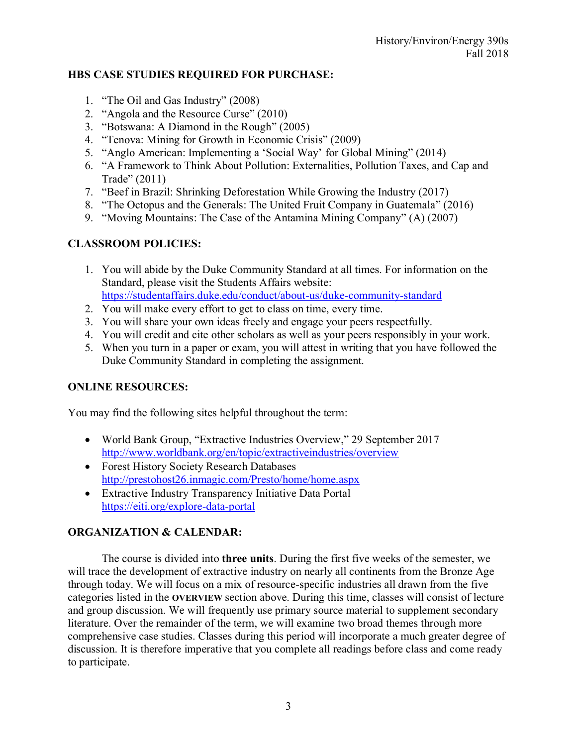#### **HBS CASE STUDIES REQUIRED FOR PURCHASE:**

- 1. "The Oil and Gas Industry" (2008)
- 2. "Angola and the Resource Curse" (2010)
- 3. "Botswana: A Diamond in the Rough" (2005)
- 4. "Tenova: Mining for Growth in Economic Crisis" (2009)
- 5. "Anglo American: Implementing a 'Social Way' for Global Mining" (2014)
- 6. "A Framework to Think About Pollution: Externalities, Pollution Taxes, and Cap and Trade" (2011)
- 7. "Beef in Brazil: Shrinking Deforestation While Growing the Industry (2017)
- 8. "The Octopus and the Generals: The United Fruit Company in Guatemala" (2016)
- 9. "Moving Mountains: The Case of the Antamina Mining Company" (A) (2007)

### **CLASSROOM POLICIES:**

- 1. You will abide by the Duke Community Standard at all times. For information on the Standard, please visit the Students Affairs website: <https://studentaffairs.duke.edu/conduct/about-us/duke-community-standard>
- 
- 2. You will make every effort to get to class on time, every time.
- 3. You will share your own ideas freely and engage your peers respectfully.
- 4. You will credit and cite other scholars as well as your peers responsibly in your work.
- 5. When you turn in a paper or exam, you will attest in writing that you have followed the Duke Community Standard in completing the assignment.

### **ONLINE RESOURCES:**

You may find the following sites helpful throughout the term:

- World Bank Group, "Extractive Industries Overview," 29 September 2017 <http://www.worldbank.org/en/topic/extractiveindustries/overview>
- Forest History Society Research Databases <http://prestohost26.inmagic.com/Presto/home/home.aspx>
- Extractive Industry Transparency Initiative Data Portal <https://eiti.org/explore-data-portal>

### **ORGANIZATION & CALENDAR:**

The course is divided into **three units**. During the first five weeks of the semester, we will trace the development of extractive industry on nearly all continents from the Bronze Age through today. We will focus on a mix of resource-specific industries all drawn from the five categories listed in the **OVERVIEW** section above. During this time, classes will consist of lecture and group discussion. We will frequently use primary source material to supplement secondary literature. Over the remainder of the term, we will examine two broad themes through more comprehensive case studies. Classes during this period will incorporate a much greater degree of discussion. It is therefore imperative that you complete all readings before class and come ready to participate.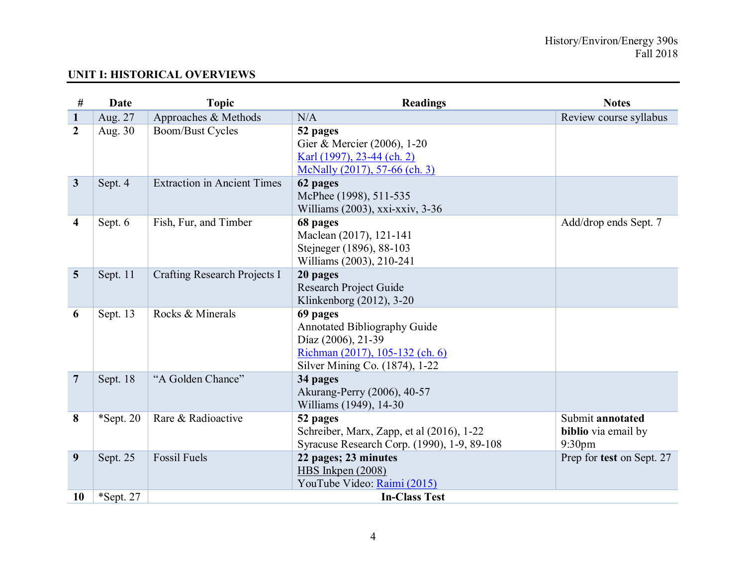# **UNIT I: HISTORICAL OVERVIEWS**

| #              | Date         | <b>Topic</b>                        | <b>Readings</b>                                                                                                                            | <b>Notes</b>                                                  |
|----------------|--------------|-------------------------------------|--------------------------------------------------------------------------------------------------------------------------------------------|---------------------------------------------------------------|
| $\mathbf{1}$   | Aug. 27      | Approaches & Methods                | N/A                                                                                                                                        | Review course syllabus                                        |
| $\overline{2}$ | Aug. 30      | <b>Boom/Bust Cycles</b>             | 52 pages<br>Gier & Mercier (2006), 1-20<br>Karl (1997), 23-44 (ch. 2)<br>McNally (2017), 57-66 (ch. 3)                                     |                                                               |
| $\mathbf{3}$   | Sept. 4      | <b>Extraction in Ancient Times</b>  | 62 pages<br>McPhee (1998), 511-535<br>Williams (2003), xxi-xxiv, 3-36                                                                      |                                                               |
| 4              | Sept. 6      | Fish, Fur, and Timber               | 68 pages<br>Maclean (2017), 121-141<br>Stejneger (1896), 88-103<br>Williams (2003), 210-241                                                | Add/drop ends Sept. 7                                         |
| 5              | Sept. 11     | <b>Crafting Research Projects I</b> | 20 pages<br><b>Research Project Guide</b><br>Klinkenborg (2012), 3-20                                                                      |                                                               |
| 6              | Sept. 13     | Rocks & Minerals                    | 69 pages<br><b>Annotated Bibliography Guide</b><br>Díaz (2006), 21-39<br>Richman (2017), 105-132 (ch. 6)<br>Silver Mining Co. (1874), 1-22 |                                                               |
| $\overline{7}$ | Sept. 18     | "A Golden Chance"                   | 34 pages<br>Akurang-Perry (2006), 40-57<br>Williams (1949), 14-30                                                                          |                                                               |
| 8              | $*$ Sept. 20 | Rare & Radioactive                  | 52 pages<br>Schreiber, Marx, Zapp, et al (2016), 1-22<br>Syracuse Research Corp. (1990), 1-9, 89-108                                       | Submit annotated<br>biblio via email by<br>9:30 <sub>pm</sub> |
| 9              | Sept. 25     | <b>Fossil Fuels</b>                 | 22 pages; 23 minutes<br>HBS Inkpen (2008)<br>YouTube Video: Raimi (2015)                                                                   | Prep for test on Sept. 27                                     |
| 10             | *Sept. 27    |                                     | <b>In-Class Test</b>                                                                                                                       |                                                               |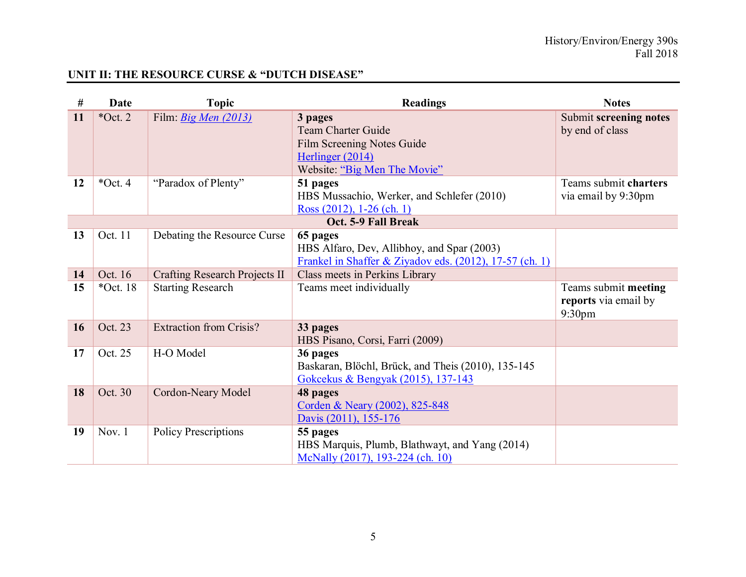# **UNIT II: THE RESOURCE CURSE & "DUTCH DISEASE"**

| #  | Date        | <b>Topic</b>                             | <b>Readings</b>                                                                                                               | <b>Notes</b>                                           |
|----|-------------|------------------------------------------|-------------------------------------------------------------------------------------------------------------------------------|--------------------------------------------------------|
| 11 | $*Oct. 2$   | Film. <i>Big Men <math>(2013)</math></i> | 3 pages<br><b>Team Charter Guide</b><br><b>Film Screening Notes Guide</b><br>Herlinger (2014)<br>Website: "Big Men The Movie" | Submit screening notes<br>by end of class              |
| 12 | $*Oct.4$    | "Paradox of Plenty"                      | 51 pages<br>HBS Mussachio, Werker, and Schlefer (2010)<br>Ross $(2012)$ , 1-26 (ch. 1)                                        | Teams submit charters<br>via email by 9:30pm           |
|    |             |                                          | Oct. 5-9 Fall Break                                                                                                           |                                                        |
| 13 | Oct. 11     | Debating the Resource Curse              | 65 pages<br>HBS Alfaro, Dev, Allibhoy, and Spar (2003)<br>Frankel in Shaffer & Ziyadov eds. (2012), 17-57 (ch. 1)             |                                                        |
| 14 | Oct. 16     | <b>Crafting Research Projects II</b>     | Class meets in Perkins Library                                                                                                |                                                        |
| 15 | $*$ Oct. 18 | <b>Starting Research</b>                 | Teams meet individually                                                                                                       | Teams submit meeting<br>reports via email by<br>9:30pm |
| 16 | Oct. 23     | <b>Extraction from Crisis?</b>           | 33 pages<br>HBS Pisano, Corsi, Farri (2009)                                                                                   |                                                        |
| 17 | Oct. 25     | H-O Model                                | 36 pages<br>Baskaran, Blöchl, Brück, and Theis (2010), 135-145<br>Gokcekus & Bengyak (2015), 137-143                          |                                                        |
| 18 | Oct. 30     | Cordon-Neary Model                       | 48 pages<br>Corden & Neary (2002), 825-848<br>Davis (2011), 155-176                                                           |                                                        |
| 19 | Nov. $1$    | <b>Policy Prescriptions</b>              | 55 pages<br>HBS Marquis, Plumb, Blathwayt, and Yang (2014)<br>McNally (2017), 193-224 (ch. 10)                                |                                                        |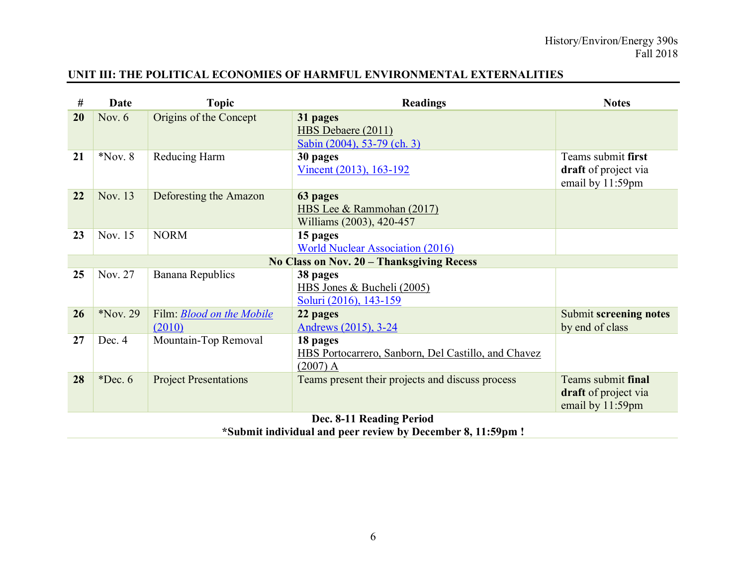## **UNIT III: THE POLITICAL ECONOMIES OF HARMFUL ENVIRONMENTAL EXTERNALITIES**

| #  | Date                     | <b>Topic</b>                               | <b>Readings</b>                                                               | <b>Notes</b>                                                   |  |
|----|--------------------------|--------------------------------------------|-------------------------------------------------------------------------------|----------------------------------------------------------------|--|
| 20 | Nov. $6$                 | Origins of the Concept                     | 31 pages<br>HBS Debaere (2011)<br>Sabin (2004), 53-79 (ch. 3)                 |                                                                |  |
| 21 | $*$ Nov. 8               | Reducing Harm                              | 30 pages<br><u>Vincent (2013), 163-192</u>                                    | Teams submit first<br>draft of project via<br>email by 11:59pm |  |
| 22 | Nov. 13                  | Deforesting the Amazon                     | 63 pages<br>HBS Lee & Rammohan (2017)<br>Williams (2003), 420-457             |                                                                |  |
| 23 | Nov. 15                  | <b>NORM</b>                                | 15 pages<br><b>World Nuclear Association (2016)</b>                           |                                                                |  |
|    |                          |                                            | No Class on Nov. 20 – Thanksgiving Recess                                     |                                                                |  |
| 25 | Nov. 27                  | Banana Republics                           | 38 pages<br>HBS Jones & Bucheli (2005)<br>Soluri (2016), 143-159              |                                                                |  |
| 26 | Nov. 29                  | Film: <b>Blood on the Mobile</b><br>(2010) | 22 pages<br>Andrews (2015), 3-24                                              | <b>Submit screening notes</b><br>by end of class               |  |
| 27 | Dec. 4                   | Mountain-Top Removal                       | 18 pages<br>HBS Portocarrero, Sanborn, Del Castillo, and Chavez<br>$(2007)$ A |                                                                |  |
| 28 | $*Dec. 6$                | <b>Project Presentations</b>               | Teams present their projects and discuss process                              | Teams submit final<br>draft of project via<br>email by 11:59pm |  |
|    | Dec. 8-11 Reading Period |                                            |                                                                               |                                                                |  |

**\*Submit individual and peer review by December 8, 11:59pm !**